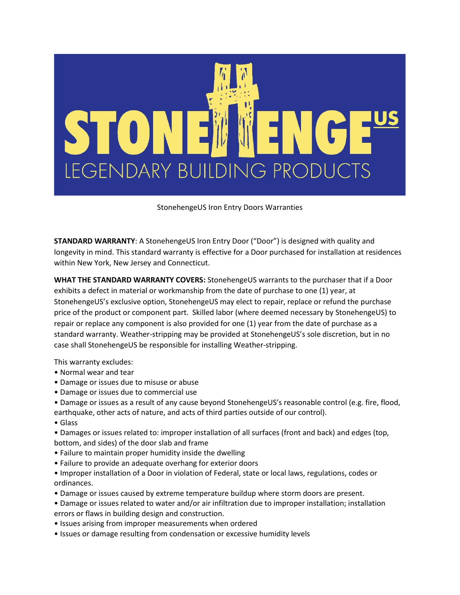

## StonehengeUS Iron Entry Doors Warranties

**STANDARD WARRANTY**: A StonehengeUS Iron Entry Door ("Door") is designed with quality and longevity in mind. This standard warranty is effective for a Door purchased for installation at residences within New York, New Jersey and Connecticut.

**WHAT THE STANDARD WARRANTY COVERS:** StonehengeUS warrants to the purchaser that if a Door exhibits a defect in material or workmanship from the date of purchase to one (1) year, at StonehengeUS's exclusive option, StonehengeUS may elect to repair, replace or refund the purchase price of the product or component part. Skilled labor (where deemed necessary by StonehengeUS) to repair or replace any component is also provided for one (1) year from the date of purchase as a standard warranty. Weather-stripping may be provided at StonehengeUS's sole discretion, but in no case shall StonehengeUS be responsible for installing Weather-stripping.

This warranty excludes:

- Normal wear and tear
- Damage or issues due to misuse or abuse
- Damage or issues due to commercial use
- Damage or issues as a result of any cause beyond StonehengeUS's reasonable control (e.g. fire, flood, earthquake, other acts of nature, and acts of third parties outside of our control).
- Glass
- Damages or issues related to: improper installation of all surfaces (front and back) and edges (top, bottom, and sides) of the door slab and frame
- Failure to maintain proper humidity inside the dwelling
- Failure to provide an adequate overhang for exterior doors
- Improper installation of a Door in violation of Federal, state or local laws, regulations, codes or ordinances.
- Damage or issues caused by extreme temperature buildup where storm doors are present.
- Damage or issues related to water and/or air infiltration due to improper installation; installation errors or flaws in building design and construction.
- Issues arising from improper measurements when ordered
- Issues or damage resulting from condensation or excessive humidity levels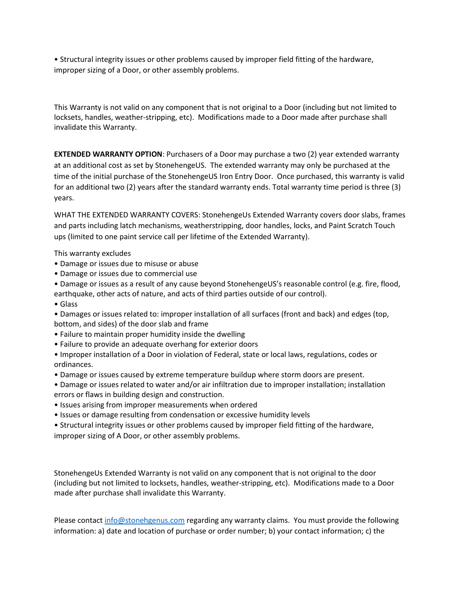• Structural integrity issues or other problems caused by improper field fitting of the hardware, improper sizing of a Door, or other assembly problems.

This Warranty is not valid on any component that is not original to a Door (including but not limited to locksets, handles, weather-stripping, etc). Modifications made to a Door made after purchase shall invalidate this Warranty.

**EXTENDED WARRANTY OPTION**: Purchasers of a Door may purchase a two (2) year extended warranty at an additional cost as set by StonehengeUS. The extended warranty may only be purchased at the time of the initial purchase of the StonehengeUS Iron Entry Door. Once purchased, this warranty is valid for an additional two (2) years after the standard warranty ends. Total warranty time period is three (3) years.

WHAT THE EXTENDED WARRANTY COVERS: StonehengeUs Extended Warranty covers door slabs, frames and parts including latch mechanisms, weatherstripping, door handles, locks, and Paint Scratch Touch ups (limited to one paint service call per lifetime of the Extended Warranty).

This warranty excludes

- Damage or issues due to misuse or abuse
- Damage or issues due to commercial use
- Damage or issues as a result of any cause beyond StonehengeUS's reasonable control (e.g. fire, flood, earthquake, other acts of nature, and acts of third parties outside of our control).
- Glass

• Damages or issues related to: improper installation of all surfaces (front and back) and edges (top, bottom, and sides) of the door slab and frame

- Failure to maintain proper humidity inside the dwelling
- Failure to provide an adequate overhang for exterior doors

• Improper installation of a Door in violation of Federal, state or local laws, regulations, codes or ordinances.

- Damage or issues caused by extreme temperature buildup where storm doors are present.
- Damage or issues related to water and/or air infiltration due to improper installation; installation errors or flaws in building design and construction.
- Issues arising from improper measurements when ordered
- Issues or damage resulting from condensation or excessive humidity levels

• Structural integrity issues or other problems caused by improper field fitting of the hardware, improper sizing of A Door, or other assembly problems.

StonehengeUs Extended Warranty is not valid on any component that is not original to the door (including but not limited to locksets, handles, weather-stripping, etc). Modifications made to a Door made after purchase shall invalidate this Warranty.

Please contact [info@stonehgenus.com](mailto:info@stonehgenus.com) regarding any warranty claims. You must provide the following information: a) date and location of purchase or order number; b) your contact information; c) the